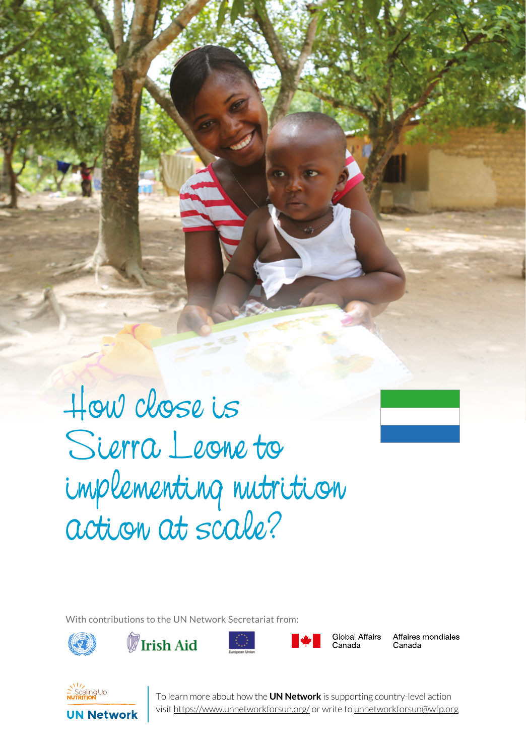

SERIES 1 UN NEWS 19 WAS ALL TO BE TO BE TO LARGE

With contributions to the UN Network Secretariat from:









**Global Affairs** Canada

Affaires mondiales Canada



To learn more about how the **UN Network** is supporting country-level action<br>visit <u>https://www.unnetworkforsun.org/</u> or write to <u>unnetworkforsun@wfp.org</u> To learn more about how the **UN Network** is supporting country-level action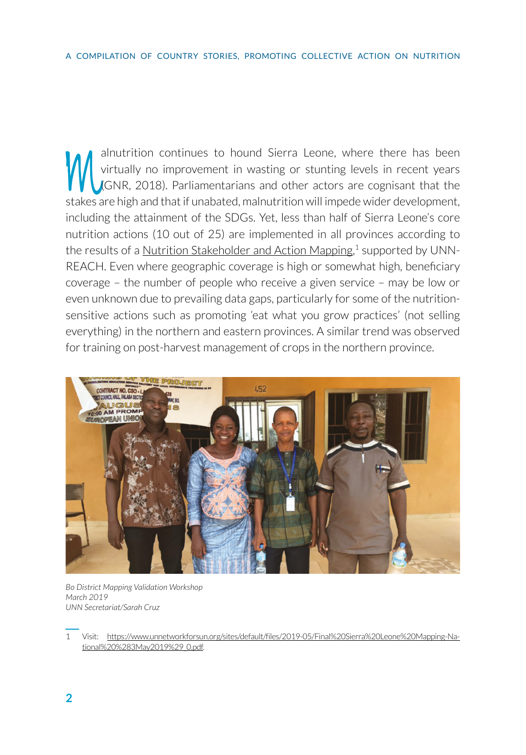alnutrition continues to hound Sierra Leone, where there has been<br>virtually no improvement in wasting or stunting levels in recent years<br>(GNR, 2018). Parliamentarians and other actors are cognisant that the<br>stakes are high virtually no improvement in wasting or stunting levels in recent years (GNR, 2018). Parliamentarians and other actors are cognisant that the stakes are high and that if unabated, malnutrition will impede wider development, including the attainment of the SDGs. Yet, less than half of Sierra Leone's core nutrition actions (10 out of 25) are implemented in all provinces according to the results of a <u>Nutrition Stakeholder and Action Mappin</u>g,<sup>1</sup> supported by UNN-REACH. Even where geographic coverage is high or somewhat high, beneficiary coverage – the number of people who receive a given service – may be low or even unknown due to prevailing data gaps, particularly for some of the nutritionsensitive actions such as promoting 'eat what you grow practices' (not selling everything) in the northern and eastern provinces. A similar trend was observed for training on post-harvest management of crops in the northern province.



*Bo District Mapping Validation Workshop March 2019 UNN Secretariat/Sarah Cruz*

<sup>1</sup> Visit: [https://www.unnetworkforsun.org/sites/default/files/2019-05/Final%20Sierra%20Leone%20Mapping-Na](https://www.unnetworkforsun.org/sites/default/files/2019-05/Final%20Sierra%20Leone%20Mapping-National%20%283May2019%29_0.pdf)[tional%20%283May2019%29\\_0.pdf](https://www.unnetworkforsun.org/sites/default/files/2019-05/Final%20Sierra%20Leone%20Mapping-National%20%283May2019%29_0.pdf).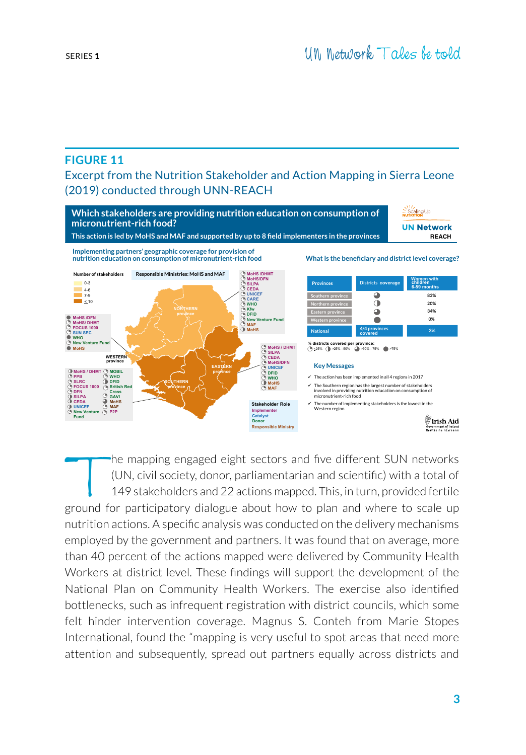## **FIGURE 11**

Excerpt from the Nutrition Stakeholder and Action Mapping in Sierra Leone (2019) conducted through UNN-REACH



The mapping engaged eight sectors and five different SUN networks<br>(UN, civil society, donor, parliamentarian and scientific) with a total of<br>149 stakeholders and 22 actions mapped. This, in turn, provided fertile<br>pround fo (UN, civil society, donor, parliamentarian and scientific) with a total of 149 stakeholders and 22 actions mapped. This, in turn, provided fertile ground for participatory dialogue about how to plan and where to scale up nutrition actions. A specific analysis was conducted on the delivery mechanisms employed by the government and partners. It was found that on average, more than 40 percent of the actions mapped were delivered by Community Health Workers at district level. These findings will support the development of the National Plan on Community Health Workers. The exercise also identified bottlenecks, such as infrequent registration with district councils, which some felt hinder intervention coverage. Magnus S. Conteh from Marie Stopes International, found the "mapping is very useful to spot areas that need more attention and subsequently, spread out partners equally across districts and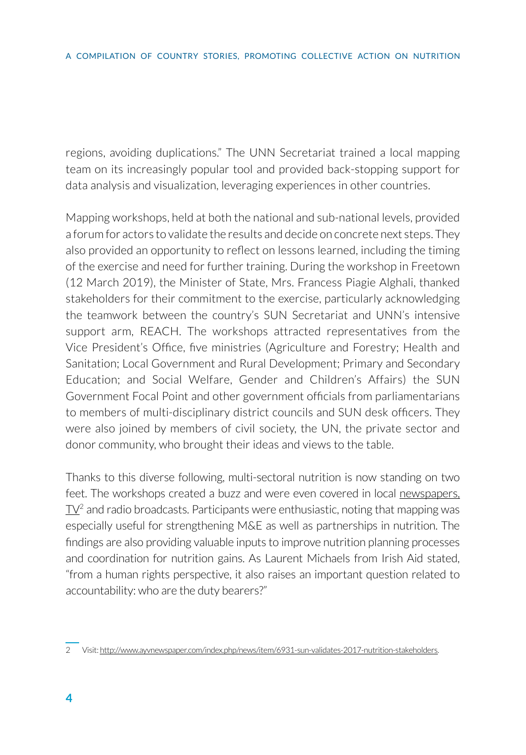regions, avoiding duplications." The UNN Secretariat trained a local mapping team on its increasingly popular tool and provided back-stopping support for data analysis and visualization, leveraging experiences in other countries.

Mapping workshops, held at both the national and sub-national levels, provided a forum for actors to validate the results and decide on concrete next steps. They also provided an opportunity to reflect on lessons learned, including the timing of the exercise and need for further training. During the workshop in Freetown (12 March 2019), the Minister of State, Mrs. Francess Piagie Alghali, thanked stakeholders for their commitment to the exercise, particularly acknowledging the teamwork between the country's SUN Secretariat and UNN's intensive support arm, REACH. The workshops attracted representatives from the Vice President's Office, five ministries (Agriculture and Forestry; Health and Sanitation; Local Government and Rural Development; Primary and Secondary Education; and Social Welfare, Gender and Children's Affairs) the SUN Government Focal Point and other government officials from parliamentarians to members of multi-disciplinary district councils and SUN desk officers. They were also joined by members of civil society, the UN, the private sector and donor community, who brought their ideas and views to the table.

Thanks to this diverse following, multi-sectoral nutrition is now standing on two feet. The workshops created a buzz and were even covered in local [newspapers,](http://www.ayvnewspaper.com/index.php/news/item/6931-sun-validates-2017-nutrition-stakeholders)   $\mathbb{N}^2$  and radio broadcasts. Participants were enthusiastic, noting that mapping was especially useful for strengthening M&E as well as partnerships in nutrition. The findings are also providing valuable inputs to improve nutrition planning processes and coordination for nutrition gains. As Laurent Michaels from Irish Aid stated, "from a human rights perspective, it also raises an important question related to accountability: who are the duty bearers?"

<sup>2</sup> Visit: [http://www.ayvnewspaper.com/index.php/news/item/6931-sun-validates-2017-nutrition-stakeholders.](http://www.ayvnewspaper.com/index.php/news/item/6931-sun-validates-2017-nutrition-stakeholders)